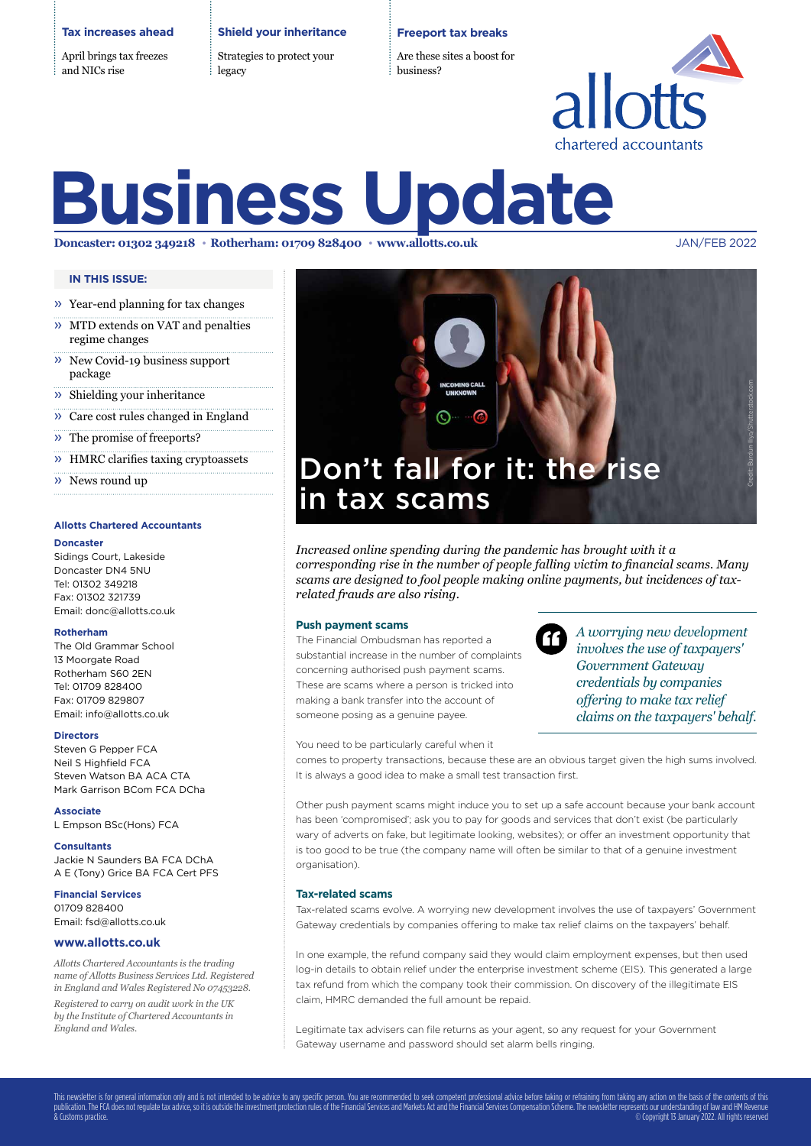### **Tax increases ahead**

April brings tax freezes and NICs rise

**Shield your inheritance**

Strategies to protect your legacy

### **Freeport tax breaks**

Are these sites a boost for business?



# **Business Update**

**Doncaster: 01302 349218 Rotherham: 01709 828400 www.allotts.co.uk** JAN/FEB 2022

### **IN THIS ISSUE:**

- » Year-end planning for tax changes
- » MTD extends on VAT and penalties regime changes
- » New Covid-19 business support package
- » Shielding your inheritance
- » Care cost rules changed in England
- » The promise of freeports?
- » HMRC clarifies taxing cryptoassets
- » News round up

### **Allotts Chartered Accountants**

### **Doncaster**

Sidings Court, Lakeside Doncaster DN4 5NU Tel: 01302 349218 Fax: 01302 321739 Email: donc@allotts.co.uk

#### **Rotherham**

The Old Grammar School 13 Moorgate Road Rotherham S60 2EN Tel: 01709 828400 Fax: 01709 829807 Email: info@allotts.co.uk

#### **Directors**

Steven G Pepper FCA Neil S Highfield FCA Steven Watson BA ACA CTA Mark Garrison BCom FCA DCha

**Associate**

L Empson BSc(Hons) FCA

**Consultants** Jackie N Saunders BA FCA DChA A E (Tony) Grice BA FCA Cert PFS

**Financial Services** 01709 828400 Email: fsd@allotts.co.uk

### **www.allotts.co.uk**

*Allotts Chartered Accountants is the trading name of Allotts Business Services Ltd. Registered in England and Wales Registered No 07453228. Registered to carry on audit work in the UK by the Institute of Chartered Accountants in England and Wales.*



*Increased online spending during the pandemic has brought with it a corresponding rise in the number of people falling victim to financial scams. Many scams are designed to fool people making online payments, but incidences of taxrelated frauds are also rising.* 

#### **Push payment scams**

The Financial Ombudsman has reported a substantial increase in the number of complaints concerning authorised push payment scams. These are scams where a person is tricked into making a bank transfer into the account of someone posing as a genuine payee.



*A worrying new development involves the use of taxpayers' Government Gateway credentials by companies offering to make tax relief claims on the taxpayers' behalf.*

You need to be particularly careful when it

comes to property transactions, because these are an obvious target given the high sums involved. It is always a good idea to make a small test transaction first.

Other push payment scams might induce you to set up a safe account because your bank account has been 'compromised'; ask you to pay for goods and services that don't exist (be particularly wary of adverts on fake, but legitimate looking, websites); or offer an investment opportunity that is too good to be true (the company name will often be similar to that of a genuine investment organisation).

### **Tax-related scams**

Tax-related scams evolve. A worrying new development involves the use of taxpayers' Government Gateway credentials by companies offering to make tax relief claims on the taxpayers' behalf.

In one example, the refund company said they would claim employment expenses, but then used log-in details to obtain relief under the enterprise investment scheme (EIS). This generated a large tax refund from which the company took their commission. On discovery of the illegitimate EIS claim, HMRC demanded the full amount be repaid.

Legitimate tax advisers can file returns as your agent, so any request for your Government Gateway username and password should set alarm bells ringing.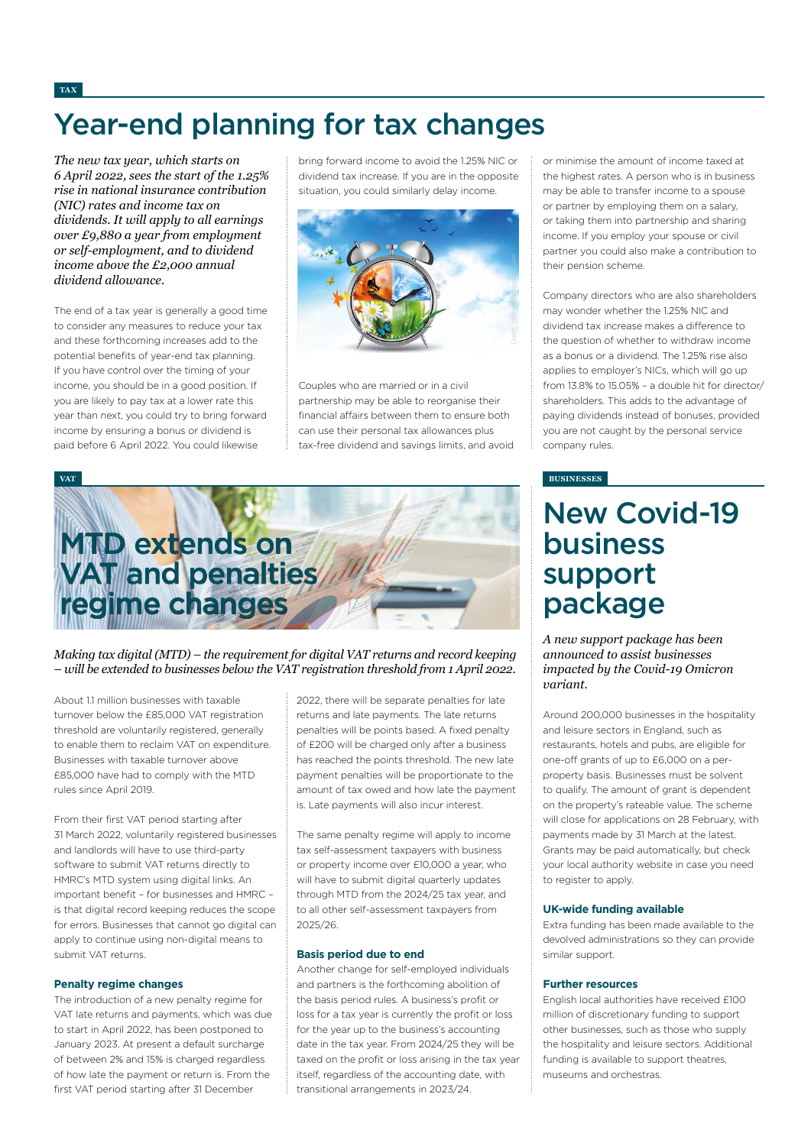# Year-end planning for tax changes

*The new tax year, which starts on 6 April 2022, sees the start of the 1.25% rise in national insurance contribution (NIC) rates and income tax on dividends. It will apply to all earnings over £9,880 a year from employment or self-employment, and to dividend income above the £2,000 annual dividend allowance.* 

The end of a tax year is generally a good time to consider any measures to reduce your tax and these forthcoming increases add to the potential benefits of year-end tax planning. If you have control over the timing of your income, you should be in a good position. If you are likely to pay tax at a lower rate this year than next, you could try to bring forward income by ensuring a bonus or dividend is paid before 6 April 2022. You could likewise

bring forward income to avoid the 1.25% NIC or dividend tax increase. If you are in the opposite situation, you could similarly delay income.



Couples who are married or in a civil partnership may be able to reorganise their financial affairs between them to ensure both can use their personal tax allowances plus tax-free dividend and savings limits, and avoid



### *Making tax digital (MTD) – the requirement for digital VAT returns and record keeping – will be extended to businesses below the VAT registration threshold from 1 April 2022.*

About 11 million businesses with taxable turnover below the £85,000 VAT registration threshold are voluntarily registered, generally to enable them to reclaim VAT on expenditure. Businesses with taxable turnover above £85,000 have had to comply with the MTD rules since April 2019.

From their first VAT period starting after 31 March 2022, voluntarily registered businesses and landlords will have to use third-party software to submit VAT returns directly to HMRC's MTD system using digital links. An important benefit – for businesses and HMRC – is that digital record keeping reduces the scope for errors. Businesses that cannot go digital can apply to continue using non-digital means to submit VAT returns.

### **Penalty regime changes**

The introduction of a new penalty regime for VAT late returns and payments, which was due to start in April 2022, has been postponed to January 2023. At present a default surcharge of between 2% and 15% is charged regardless of how late the payment or return is. From the first VAT period starting after 31 December

2022, there will be separate penalties for late returns and late payments. The late returns penalties will be points based. A fixed penalty of £200 will be charged only after a business has reached the points threshold. The new late payment penalties will be proportionate to the amount of tax owed and how late the payment is. Late payments will also incur interest.

The same penalty regime will apply to income tax self-assessment taxpayers with business or property income over £10,000 a year, who will have to submit digital quarterly updates through MTD from the 2024/25 tax year, and to all other self-assessment taxpayers from 2025/26.

### **Basis period due to end**

Another change for self-employed individuals and partners is the forthcoming abolition of the basis period rules. A business's profit or loss for a tax year is currently the profit or loss for the year up to the business's accounting date in the tax year. From 2024/25 they will be taxed on the profit or loss arising in the tax year itself, regardless of the accounting date, with transitional arrangements in 2023/24.

or minimise the amount of income taxed at the highest rates. A person who is in business may be able to transfer income to a spouse or partner by employing them on a salary, or taking them into partnership and sharing income. If you employ your spouse or civil partner you could also make a contribution to their pension scheme.

Company directors who are also shareholders may wonder whether the 1.25% NIC and dividend tax increase makes a difference to the question of whether to withdraw income as a bonus or a dividend. The 1.25% rise also applies to employer's NICs, which will go up from 13.8% to 15.05% – a double hit for director/ shareholders. This adds to the advantage of paying dividends instead of bonuses, provided you are not caught by the personal service company rules.

# New Covid-19 business support package

*A new support package has been announced to assist businesses impacted by the Covid-19 Omicron variant.*

Around 200,000 businesses in the hospitality and leisure sectors in England, such as restaurants, hotels and pubs, are eligible for one-off grants of up to £6,000 on a perproperty basis. Businesses must be solvent to qualify. The amount of grant is dependent on the property's rateable value. The scheme will close for applications on 28 February, with payments made by 31 March at the latest. Grants may be paid automatically, but check your local authority website in case you need to register to apply.

#### **UK-wide funding available**

Extra funding has been made available to the devolved administrations so they can provide similar support.

### **Further resources**

English local authorities have received £100 million of discretionary funding to support other businesses, such as those who supply the hospitality and leisure sectors. Additional funding is available to support theatres museums and orchestras.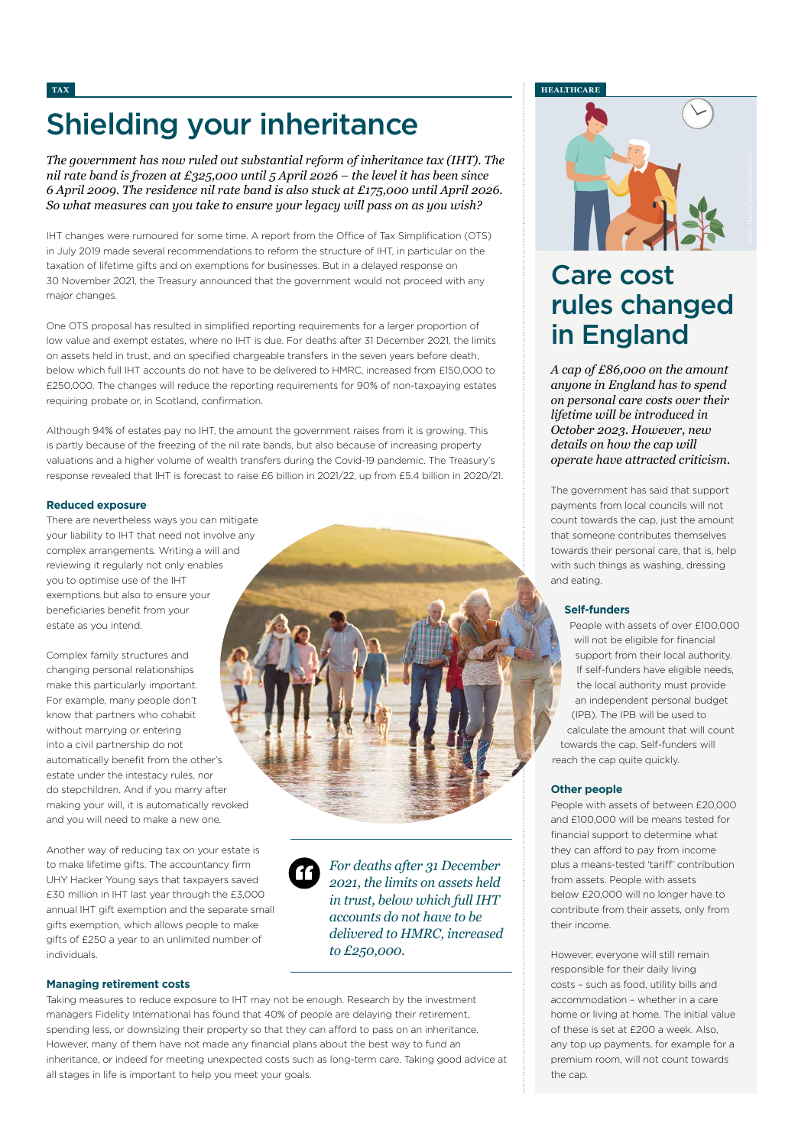# Shielding your inheritance

*The government has now ruled out substantial reform of inheritance tax (IHT). The nil rate band is frozen at £325,000 until 5 April 2026 – the level it has been since 6 April 2009. The residence nil rate band is also stuck at £175,000 until April 2026. So what measures can you take to ensure your legacy will pass on as you wish?*

IHT changes were rumoured for some time. A report from the Office of Tax Simplification (OTS) in July 2019 made several recommendations to reform the structure of IHT, in particular on the taxation of lifetime gifts and on exemptions for businesses. But in a delayed response on 30 November 2021, the Treasury announced that the government would not proceed with any major changes.

One OTS proposal has resulted in simplified reporting requirements for a larger proportion of low value and exempt estates, where no IHT is due. For deaths after 31 December 2021, the limits on assets held in trust, and on specified chargeable transfers in the seven years before death, below which full IHT accounts do not have to be delivered to HMRC, increased from £150,000 to £250,000. The changes will reduce the reporting requirements for 90% of non-taxpaying estates requiring probate or, in Scotland, confirmation.

Although 94% of estates pay no IHT, the amount the government raises from it is growing. This is partly because of the freezing of the nil rate bands, but also because of increasing property valuations and a higher volume of wealth transfers during the Covid-19 pandemic. The Treasury's response revealed that IHT is forecast to raise £6 billion in 2021/22, up from £5.4 billion in 2020/21.

### **Reduced exposure**

There are nevertheless ways you can mitigate your liability to IHT that need not involve any complex arrangements. Writing a will and reviewing it regularly not only enables you to optimise use of the IHT exemptions but also to ensure your beneficiaries benefit from your estate as you intend.

Complex family structures and changing personal relationships make this particularly important. For example, many people don't know that partners who cohabit without marrying or entering into a civil partnership do not automatically benefit from the other's estate under the intestacy rules, nor do stepchildren. And if you marry after making your will, it is automatically revoked and you will need to make a new one.

Another way of reducing tax on your estate is to make lifetime gifts. The accountancy firm UHY Hacker Young says that taxpayers saved £30 million in IHT last year through the £3,000 annual IHT gift exemption and the separate small gifts exemption, which allows people to make gifts of £250 a year to an unlimited number of individuals.



*For deaths after 31 December 2021, the limits on assets held in trust, below which full IHT accounts do not have to be delivered to HMRC, increased to £250,000.*

<sup>C</sup>redit: <sup>M</sup>onke<sup>y</sup> <sup>B</sup>usines<sup>s</sup> <sup>I</sup>mage<sup>s</sup>/Shutterstock.co<sup>m</sup>

### **Managing retirement costs**

Taking measures to reduce exposure to IHT may not be enough. Research by the investment managers Fidelity International has found that 40% of people are delaying their retirement, spending less, or downsizing their property so that they can afford to pass on an inheritance. However, many of them have not made any financial plans about the best way to fund an inheritance, or indeed for meeting unexpected costs such as long-term care. Taking good advice at all stages in life is important to help you meet your goals.

### **TAX HEALTHCARE**



## Care cost rules changed in England

*A cap of £86,000 on the amount anyone in England has to spend on personal care costs over their lifetime will be introduced in October 2023. However, new details on how the cap will operate have attracted criticism.* 

The government has said that support payments from local councils will not count towards the cap, just the amount that someone contributes themselves towards their personal care, that is, help with such things as washing, dressing and eating.

### **Self-funders**

People with assets of over £100,000 will not be eligible for financial support from their local authority. If self-funders have eligible needs, the local authority must provide an independent personal budget (IPB). The IPB will be used to calculate the amount that will count towards the cap. Self-funders will reach the cap quite quickly.

### **Other people**

People with assets of between £20,000 and £100,000 will be means tested for financial support to determine what they can afford to pay from income plus a means-tested 'tariff' contribution from assets. People with assets below £20,000 will no longer have to contribute from their assets, only from their income.

However, everyone will still remain responsible for their daily living costs – such as food, utility bills and accommodation – whether in a care home or living at home. The initial value of these is set at £200 a week. Also, any top up payments, for example for a premium room, will not count towards the cap.